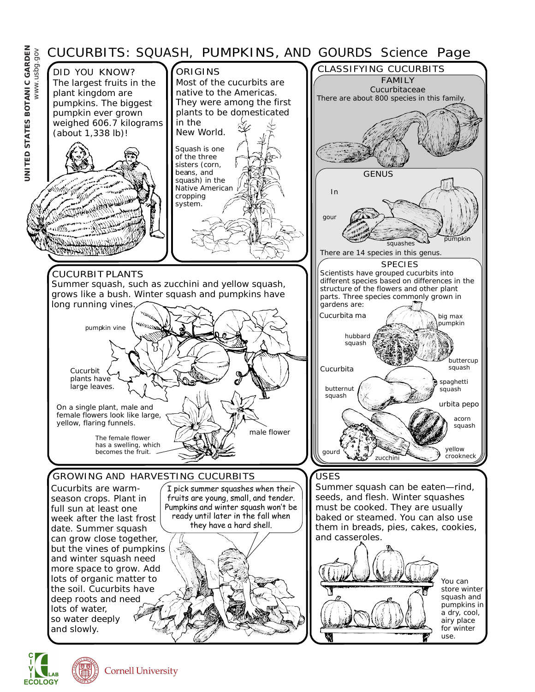

**ECOLOGY**